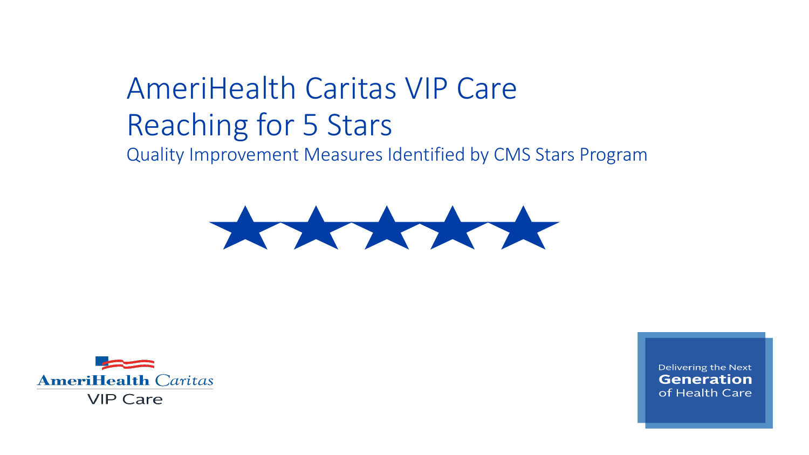# AmeriHealth Caritas VIP Care Reaching for 5 Stars Quality Improvement Measures Identified by CMS Stars Program





Delivering the Next **Generation** of Health Care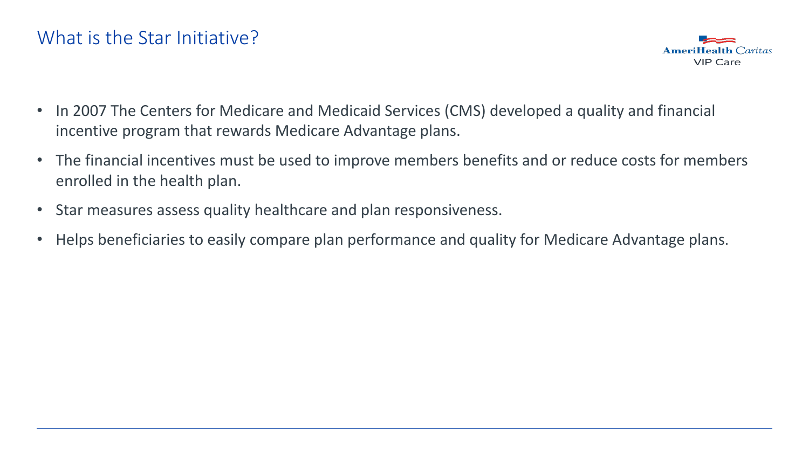

- In 2007 The Centers for Medicare and Medicaid Services (CMS) developed a quality and financial incentive program that rewards Medicare Advantage plans.
- The financial incentives must be used to improve members benefits and or reduce costs for members enrolled in the health plan.
- Star measures assess quality healthcare and plan responsiveness.
- Helps beneficiaries to easily compare plan performance and quality for Medicare Advantage plans.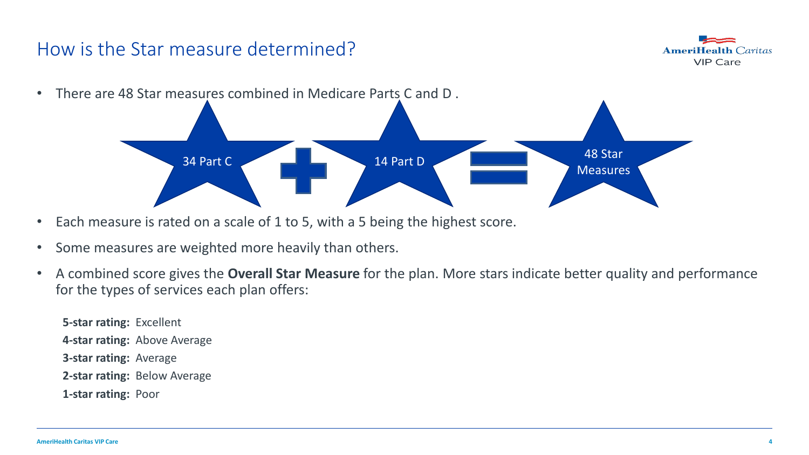# How is the Star measure determined?



- There are 48 Star measures combined in Medicare Parts C and D . and the set of the set of the set of the set of the set of the set of the set of the set of the set of the set of the set of the set of the set of the set of the set of the set of the set of the set of the set of the set o **Measures**
- Each measure is rated on a scale of 1 to 5, with a 5 being the highest score.
- Some measures are weighted more heavily than others.
- A combined score gives the **Overall Star Measure** for the plan. More stars indicate better quality and performance for the types of services each plan offers:

**5-star rating:** Excellent **4-star rating:** Above Average **3-star rating:** Average **2-star rating:** Below Average **1-star rating:** Poor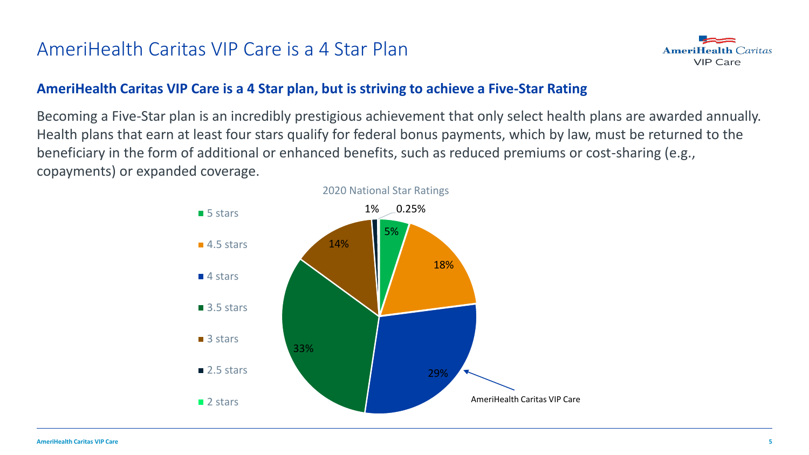#### AmeriHealth Caritas VIP Care is a 4 Star Plan



#### **AmeriHealth Caritas VIP Care is a 4 Star plan, but is striving to achieve a Five-Star Rating**

Becoming a Five-Star plan is an incredibly prestigious achievement that only select health plans are awarded annually. Health plans that earn at least four stars qualify for federal bonus payments, which by law, must be returned to the beneficiary in the form of additional or enhanced benefits, such as reduced premiums or cost-sharing (e.g., copayments) or expanded coverage.

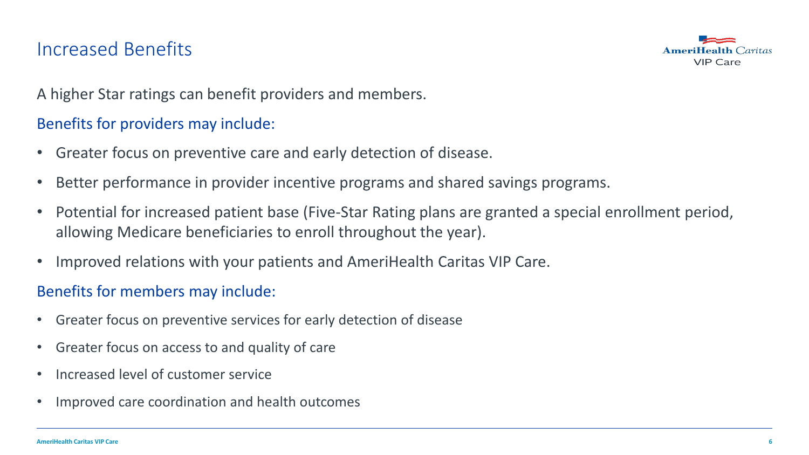#### Increased Benefits



A higher Star ratings can benefit providers and members.

#### Benefits for providers may include:

- Greater focus on preventive care and early detection of disease.
- Better performance in provider incentive programs and shared savings programs.
- Potential for increased patient base (Five-Star Rating plans are granted a special enrollment period, allowing Medicare beneficiaries to enroll throughout the year).
- Improved relations with your patients and AmeriHealth Caritas VIP Care.

#### Benefits for members may include:

- Greater focus on preventive services for early detection of disease
- Greater focus on access to and quality of care
- Increased level of customer service
- Improved care coordination and health outcomes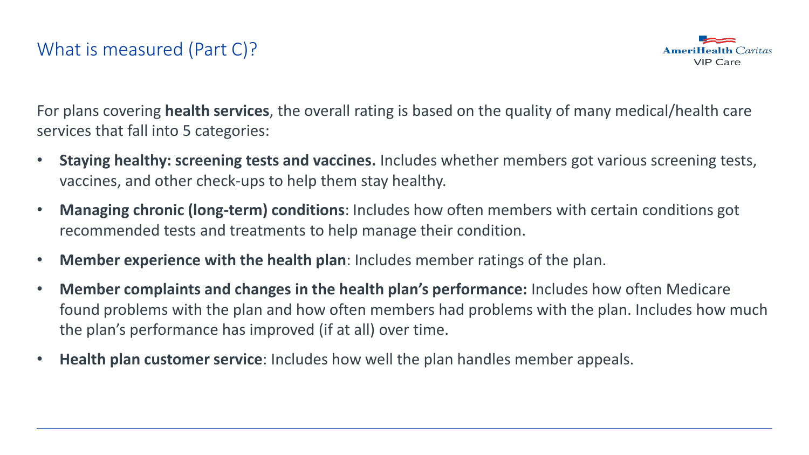# What is measured (Part C)?



For plans covering **health services**, the overall rating is based on the quality of many medical/health care services that fall into 5 categories:

- **Staying healthy: screening tests and vaccines.** Includes whether members got various screening tests, vaccines, and other check-ups to help them stay healthy.
- **Managing chronic (long-term) conditions**: Includes how often members with certain conditions got recommended tests and treatments to help manage their condition.
- **Member experience with the health plan**: Includes member ratings of the plan.
- **Member complaints and changes in the health plan's performance:** Includes how often Medicare found problems with the plan and how often members had problems with the plan. Includes how much the plan's performance has improved (if at all) over time.
- **Health plan customer service**: Includes how well the plan handles member appeals.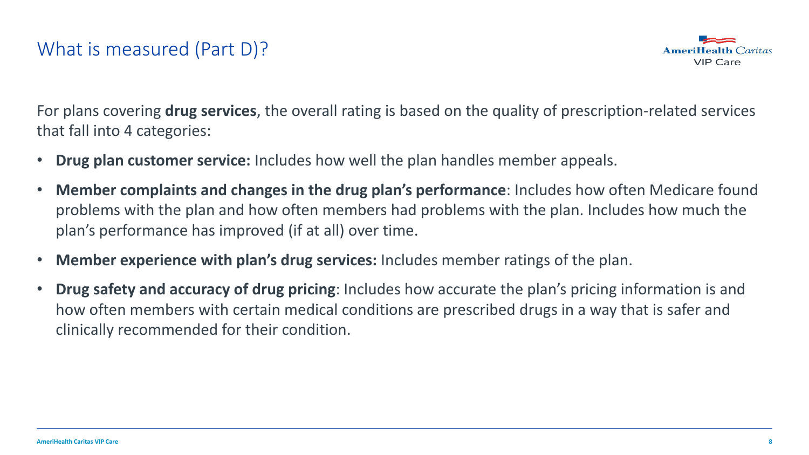#### What is measured (Part D)?



For plans covering **drug services**, the overall rating is based on the quality of prescription-related services that fall into 4 categories:

- **Drug plan customer service:** Includes how well the plan handles member appeals.
- **Member complaints and changes in the drug plan's performance**: Includes how often Medicare found problems with the plan and how often members had problems with the plan. Includes how much the plan's performance has improved (if at all) over time.
- **Member experience with plan's drug services:** Includes member ratings of the plan.
- **Drug safety and accuracy of drug pricing**: Includes how accurate the plan's pricing information is and how often members with certain medical conditions are prescribed drugs in a way that is safer and clinically recommended for their condition.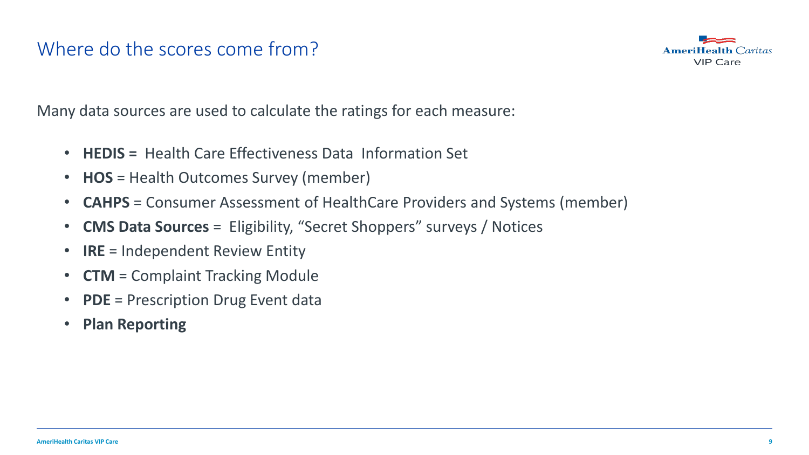#### Where do the scores come from?



Many data sources are used to calculate the ratings for each measure:

- **HEDIS =** Health Care Effectiveness Data Information Set
- **HOS** = Health Outcomes Survey (member)
- **CAHPS** = Consumer Assessment of HealthCare Providers and Systems (member)
- **CMS Data Sources** = Eligibility, "Secret Shoppers" surveys / Notices
- **IRE** = Independent Review Entity
- **CTM** = Complaint Tracking Module
- **PDE** = Prescription Drug Event data
- **Plan Reporting**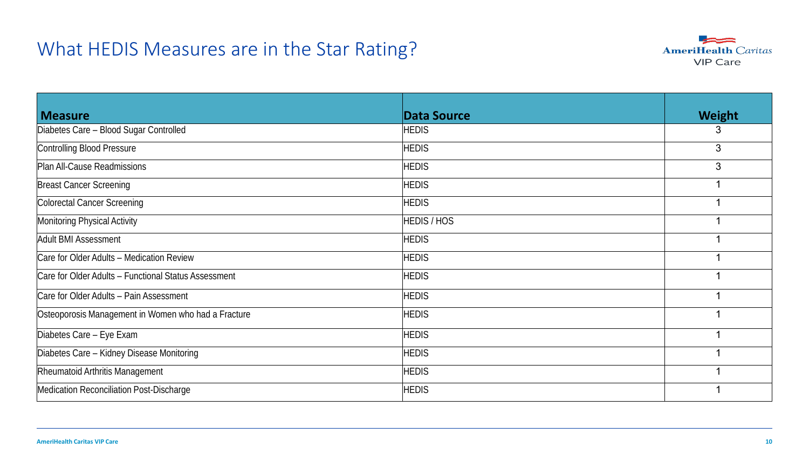#### What HEDIS Measures are in the Star Rating?



| <b>Measure</b>                                       | Data Source        | Weight |
|------------------------------------------------------|--------------------|--------|
| Diabetes Care - Blood Sugar Controlled               | <b>HEDIS</b>       | 3      |
| Controlling Blood Pressure                           | <b>HEDIS</b>       | 3      |
| Plan All-Cause Readmissions                          | <b>HEDIS</b>       | 3      |
| <b>Breast Cancer Screening</b>                       | <b>HEDIS</b>       |        |
| Colorectal Cancer Screening                          | <b>HEDIS</b>       |        |
| Monitoring Physical Activity                         | <b>HEDIS / HOS</b> |        |
| Adult BMI Assessment                                 | <b>HEDIS</b>       |        |
| Care for Older Adults - Medication Review            | <b>HEDIS</b>       |        |
| Care for Older Adults - Functional Status Assessment | <b>HEDIS</b>       |        |
| Care for Older Adults - Pain Assessment              | <b>HEDIS</b>       |        |
| Osteoporosis Management in Women who had a Fracture  | <b>HEDIS</b>       |        |
| Diabetes Care - Eye Exam                             | <b>HEDIS</b>       |        |
| Diabetes Care - Kidney Disease Monitoring            | <b>HEDIS</b>       |        |
| Rheumatoid Arthritis Management                      | <b>HEDIS</b>       |        |
| Medication Reconciliation Post-Discharge             | <b>HEDIS</b>       |        |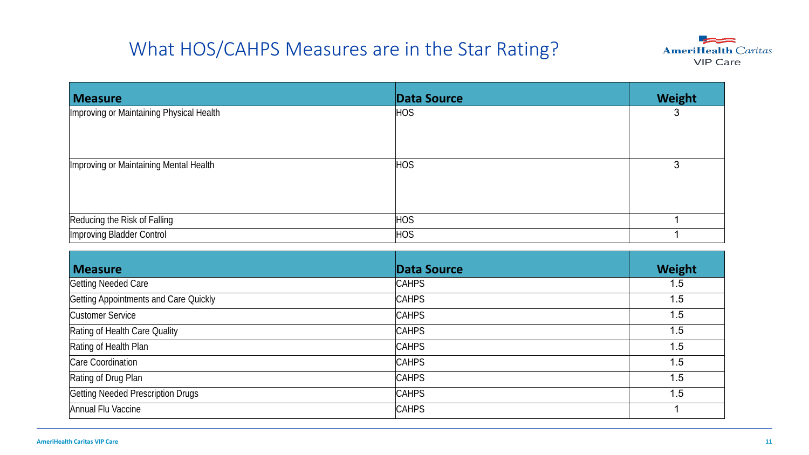# What HOS/CAHPS Measures are in the Star Rating?



| <b>Measure</b>                           | <b>Data Source</b> | Weight |
|------------------------------------------|--------------------|--------|
| Improving or Maintaining Physical Health | <b>HOS</b>         | 3      |
| Improving or Maintaining Mental Health   | HOS                | 3      |
| Reducing the Risk of Falling             | HOS                |        |
| Improving Bladder Control                | HOS                |        |

| <b>Measure</b>                        | Data Source  | Weight |
|---------------------------------------|--------------|--------|
| Getting Needed Care                   | <b>CAHPS</b> | 1.5    |
| Getting Appointments and Care Quickly | <b>CAHPS</b> | 1.5    |
| Customer Service                      | <b>CAHPS</b> | 1.5    |
| Rating of Health Care Quality         | <b>CAHPS</b> | 1.5    |
| Rating of Health Plan                 | <b>CAHPS</b> | 1.5    |
| Care Coordination                     | <b>CAHPS</b> | 1.5    |
| Rating of Drug Plan                   | <b>CAHPS</b> | 1.5    |
| Getting Needed Prescription Drugs     | <b>CAHPS</b> | 1.5    |
| Annual Flu Vaccine                    | <b>CAHPS</b> |        |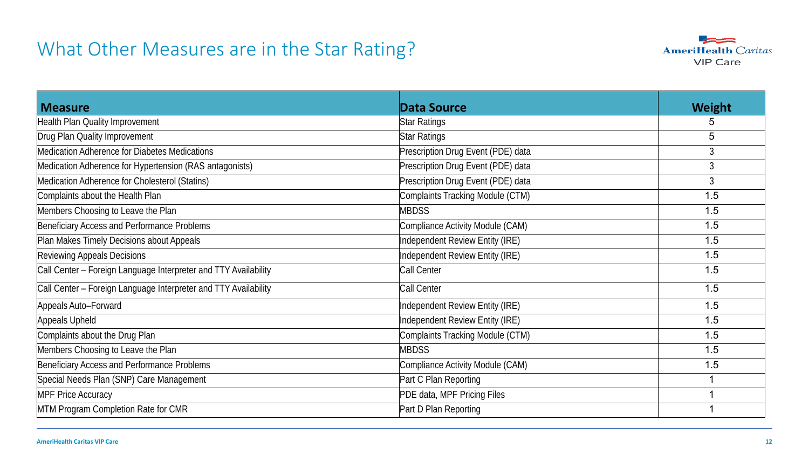#### What Other Measures are in the Star Rating?



| <b>Measure</b>                                                  | Data Source                        | <b>Weight</b> |
|-----------------------------------------------------------------|------------------------------------|---------------|
| Health Plan Quality Improvement                                 | <b>Star Ratings</b>                | 5             |
| Drug Plan Quality Improvement                                   | Star Ratings                       | 5             |
| Medication Adherence for Diabetes Medications                   | Prescription Drug Event (PDE) data | 3             |
| Medication Adherence for Hypertension (RAS antagonists)         | Prescription Drug Event (PDE) data | 3             |
| Medication Adherence for Cholesterol (Statins)                  | Prescription Drug Event (PDE) data | 3             |
| Complaints about the Health Plan                                | Complaints Tracking Module (CTM)   | 1.5           |
| Members Choosing to Leave the Plan                              | <b>MBDSS</b>                       | 1.5           |
| Beneficiary Access and Performance Problems                     | Compliance Activity Module (CAM)   | 1.5           |
| Plan Makes Timely Decisions about Appeals                       | Independent Review Entity (IRE)    | 1.5           |
| Reviewing Appeals Decisions                                     | Independent Review Entity (IRE)    | 1.5           |
| Call Center - Foreign Language Interpreter and TTY Availability | Call Center                        | 1.5           |
| Call Center - Foreign Language Interpreter and TTY Availability | Call Center                        | 1.5           |
| Appeals Auto-Forward                                            | Independent Review Entity (IRE)    | 1.5           |
| Appeals Upheld                                                  | Independent Review Entity (IRE)    | 1.5           |
| Complaints about the Drug Plan                                  | Complaints Tracking Module (CTM)   | 1.5           |
| Members Choosing to Leave the Plan                              | <b>MBDSS</b>                       | 1.5           |
| Beneficiary Access and Performance Problems                     | Compliance Activity Module (CAM)   | 1.5           |
| Special Needs Plan (SNP) Care Management                        | Part C Plan Reporting              | 1             |
| <b>MPF Price Accuracy</b>                                       | PDE data, MPF Pricing Files        |               |
| MTM Program Completion Rate for CMR                             | Part D Plan Reporting              |               |